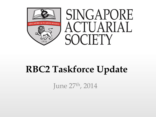

# **RBC2 Taskforce Update**

June 27th, 2014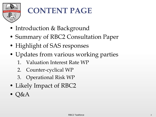

## **CONTENT PAGE**

- Introduction & Background
- Summary of RBC2 Consultation Paper
- Highlight of SAS responses
- Updates from various working parties
	- 1. Valuation Interest Rate WP
	- 2. Counter-cyclical WP
	- 3. Operational Risk WP
- Likely Impact of RBC2
- $\bullet$  Q&A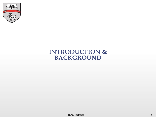

#### **INTRODUCTION & BACKGROUND**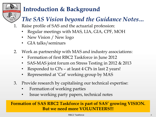## **Introduction & Background**

## *The SAS Vision beyond the Guidance Notes…*

- 1. Raise profile of SAS and the actuarial profession:
	- Regular meetings with MAS, LIA, GIA, CPF, MOH
	- New Vision / New logo
	- GIA talks/seminars
- 2. Work as partnership with MAS and industry associations:
	- Formation of first RBC2 Taskforce in June 2012
	- SAS-MAS joint forum on Stress Testing in 2012 & 2013
	- Responded to CPs at least 4 CPs in last 2 years!
	- Represented at 'Cat' working group by MAS
- 3. Provide research by capitalising our technical expertise:
	- Formation of working parties
	- Issue working party papers, technical notes

#### **Formation of SAS RBC2 Taskforce is part of SAS' growing VISION. But we need more VOLUNTEERS!!!**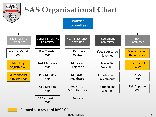

- Formed as a result of RBC2 CP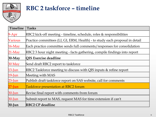

#### **RBC 2 taskforce – timeline**

| Timeline  | <b>Tasks</b>                                                                 |  |  |  |
|-----------|------------------------------------------------------------------------------|--|--|--|
| $9 - Apr$ | RBC2 kick-off meeting - timeline, schedule, roles & responsibilities         |  |  |  |
| Various   | Practice committees (LI, GI, ERM, Health) - to study each proposal in detail |  |  |  |
| $16$ -May | Each practice committee sends full comments/responses for consolidation      |  |  |  |
| $21$ -May | RBC2 3 hour night meeting - facts gathering, compile findings into report    |  |  |  |
| $30-May$  | QIS Exercise deadline                                                        |  |  |  |
| $30$ May  | Send draft RBC2 report to taskforce                                          |  |  |  |
| $13$ -Jun | RBC2 Taskforce meeting to discuss with QIS inputs & refine report            |  |  |  |
| $19$ -Jun | Meeting with MAS                                                             |  |  |  |
| $23$ -Jun | Publish draft taskforce report on SAS website, call for comments             |  |  |  |
| $27$ -Jun | Taskforce presentation at RBC2 forum                                         |  |  |  |
| $30$ -Jun | Revise final report with comments from forum                                 |  |  |  |
| $30$ -Jun | Submit report to MAS, request MAS for time extension if can't                |  |  |  |
| $30$ -Jun | <b>RBC2 CP deadline</b>                                                      |  |  |  |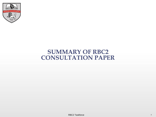

#### **SUMMARY OF RBC2 CONSULTATION PAPER**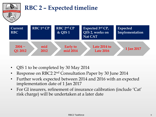

- QIS 1 to be completed by 30 May 2014
- Response on RBC2 2<sup>nd</sup> Consultation Paper by 30 June 2014
- Further work expected between 2014 and 2016 with an expected implementation date of 1 Jan 2017
- For GI insurers, refinement of insurance calibration (include 'Cat' risk charge) will be undertaken at a later date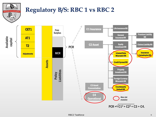

#### **Regulatory B/S: RBC 1 vs RBC 2**

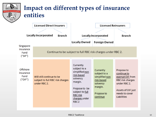|                       | <b>Licensed Direct Insurers</b>                  |                                    | <b>Licensed Reinsurers</b>  |                                         |
|-----------------------|--------------------------------------------------|------------------------------------|-----------------------------|-----------------------------------------|
|                       |                                                  |                                    |                             |                                         |
|                       | <b>Locally Incorporated</b><br>Branch            |                                    | <b>Locally Incorporated</b> | <b>Branch</b>                           |
|                       |                                                  | <b>Locally Owned</b>               | <b>Foreign Owned</b>        |                                         |
|                       |                                                  |                                    |                             |                                         |
|                       |                                                  | Currently<br>subject to a          |                             |                                         |
| Offshore<br>insurance |                                                  | simplified non                     | Currently<br>subject to a   | Propose to<br>continue to               |
| Fund<br>("OIF")       | Will still continue to be                        | risk-based<br>solvency             | simplified non              | exempt OIF from                         |
|                       | subject to full RBC risk charges<br>under RBC 2. | margin.                            | risk-based<br>solvency      | <b>RBC risk charges</b><br>under RBC 2. |
|                       |                                                  | Propose to be                      | margin.                     | Assets of OIF just                      |
|                       |                                                  | subject to full<br><b>RBC risk</b> | Propose to                  | needs to cover                          |
|                       |                                                  | charges under                      | continue                    | Liabilities                             |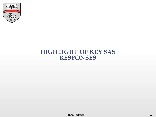

#### **HIGHLIGHT OF KEY SAS RESPONSES**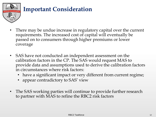

- There may be undue increase in regulatory capital over the current requirements. The increased cost of capital will eventually be passed on to consumers through higher premiums or lower coverage
- SAS have not conducted an independent assessment on the calibration factors in the CP. The SAS would request MAS to provide data and assumptions used to derive the calibration factors in circumstances where risk factors:
	- have a significant impact or very different from current regime;
	- appear contradictory to SAS' view
- The SAS working parties will continue to provide further research to partner with MAS to refine the RBC2 risk factors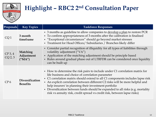

| <b>Proposals</b>   | <b>Key Topics</b>                  | <b>Taskforce Responses</b>                                                                                                                                                                                                                                                                                                                                                                                                                                                                                                   |  |  |
|--------------------|------------------------------------|------------------------------------------------------------------------------------------------------------------------------------------------------------------------------------------------------------------------------------------------------------------------------------------------------------------------------------------------------------------------------------------------------------------------------------------------------------------------------------------------------------------------------|--|--|
| CQ1                | 3 month<br>timeframe               | • 3 months as guideline to allow companies to develop a plan to restore PCR<br>• To confirm appropriateness of 3-months after the calibration is finalised<br>• "Exceptional circumstances" should go beyond market stresses<br>• Treatment for Head Offices/ Subsidiaries / Branches likely differ                                                                                                                                                                                                                          |  |  |
| $CP$ 3, 4<br>CQ2,3 | Matching<br>Adjustment<br>("MA")   | • Consider partial recognition of illiquidity for all types of liabilities through<br>volatility adjustment ("VA")<br>• Application of the matching adjustment should be principle based<br>• Rules around gradual phase out of LTRFDR can be considered once liquidity<br>can be built up                                                                                                                                                                                                                                   |  |  |
| CP 6               | Diversification<br><b>Benefits</b> | • How to determine the risk pairs to include under C1 correlation matrix for<br>life business and choice of correlation parameter<br>• C1 correlation matrix should extend to all C1 components includes lapse risk<br>• An explicit correlation between different C2 risks will be more helpful and<br>help insurers' in planning their investment portfolio<br>• Diversification between funds should be expanded to all risks (e.g. mortality<br>risk vs annuity risk, credit spread vs credit risk, between lapse risks) |  |  |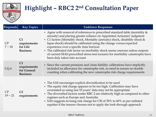

| <b>Proposals</b>   | <b>Key Topics</b>                                    | <b>Taskforce Responses</b>                                                                                                                                                                                                                                                                                                                                                                                                                                                                                                                                 |
|--------------------|------------------------------------------------------|------------------------------------------------------------------------------------------------------------------------------------------------------------------------------------------------------------------------------------------------------------------------------------------------------------------------------------------------------------------------------------------------------------------------------------------------------------------------------------------------------------------------------------------------------------|
| CP<br>$7 \sim 18$  | C1<br>requirements<br>for Life<br><b>Business</b>    | • Agree with removal of references to prescribed standard table (mortality $&$<br>annuity) and placing greater reliance on Appointed Actuaries' judgment<br>• C1 factors (Mortality shock, Mortality (annuity) shock, disability shock &<br>lapse shock) should be calibrated using the change versus expected<br>experience over a specific time horizon<br>• The calibrated risk factor on morbidity shock seems onerous unless outputs<br>of current MAS-prescribed stress test scenario for morbidity catastrophe have<br>been duly taken into account |
| CQ <sub>4</sub>    | C1<br>requirements<br>for General<br><b>Business</b> | • Since the current premium and claim liability calibrations have implicitly<br>included an allowance for catastrophe risk, so need to ensure no double<br>counting when calibrating the new catastrophe risk charge requirements                                                                                                                                                                                                                                                                                                                          |
| CP<br>$19 \sim 21$ | C <sub>2</sub><br>requirements                       | • The SAS encourages explicit diversification to be used<br>• The equity risk charge appears to be too high. Calibration may have<br>overstated as using last 10 years' data may not be appropriate<br>• The diversified factors under RBC 2 are relatively high as compared to other<br>regimes such as Europe and Australia<br>• SAS suggests revising risk charge for CIS of 50% to 60% as per unlisted<br>equities if the insurer chooses not to apply the look-through approach                                                                       |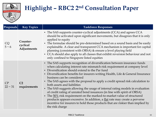

| <b>Proposals</b>   | <b>Key Topics</b>                   | <b>Taskforce Responses</b>                                                                                                                                                                                                                                                                                                                                                                                                                                                                                                                                                                                                                                                                                                                                                                                                                                              |  |  |
|--------------------|-------------------------------------|-------------------------------------------------------------------------------------------------------------------------------------------------------------------------------------------------------------------------------------------------------------------------------------------------------------------------------------------------------------------------------------------------------------------------------------------------------------------------------------------------------------------------------------------------------------------------------------------------------------------------------------------------------------------------------------------------------------------------------------------------------------------------------------------------------------------------------------------------------------------------|--|--|
| $CQ$<br>$5 \sim 6$ | Counter-<br>cyclical<br>Adjustments | • The SAS supports counter-cyclical adjustments (CCA) and agrees CCA<br>should be activated upon significant movements, but disagrees that it is only<br>applied to equity<br>• The formulae should be pre-determined based on a sound basis and be easily<br>explainable. A clear and transparent CCA mechanism is important for capital<br>planning (consistent with ORSA) & ensure a level playing field<br>• CCA should also apply to all classes that exhibit reversion behaviour and not<br>only confined to Singapore listed equities                                                                                                                                                                                                                                                                                                                            |  |  |
| CP<br>$22 \sim 31$ | C <sub>2</sub><br>requirements      | • The SAS supports recognition of diversification between insurance funds<br>when calculating interest rate mismatch risk requirement at company level<br>• Diversification should extend to the Par fund<br>• Diversification benefits for insurers writing Health, Life & General Insurance<br>business can be considered<br>• The SAS agrees with the proposal to apply a credit spread risk calculation to<br>both assets and liabilities<br>• The SAS suggests allowing the usage of internal rating models in evaluation<br>of credit rating of unrated bond issuances (in line with spirit of ORSA)<br>• The 50% risk requirement on the marked-to-market value of structured<br>products appears excessive. In addition, a flat rate may create a perverse<br>incentive for insurers to hold those products that are riskier than implied by<br>the risk charge |  |  |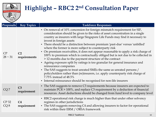| <b>Proposals</b>   | <b>Key Topics</b>              | <b>Taskforce Responses</b>                                                                                                                                                                                                                                                                                                                                                                                                                                                                                                                                                                                                                                                                                                                                                                                                                                                                                                                                                                                              |  |  |  |  |
|--------------------|--------------------------------|-------------------------------------------------------------------------------------------------------------------------------------------------------------------------------------------------------------------------------------------------------------------------------------------------------------------------------------------------------------------------------------------------------------------------------------------------------------------------------------------------------------------------------------------------------------------------------------------------------------------------------------------------------------------------------------------------------------------------------------------------------------------------------------------------------------------------------------------------------------------------------------------------------------------------------------------------------------------------------------------------------------------------|--|--|--|--|
| CP<br>$28 \sim 31$ | C <sub>2</sub><br>requirements | • On removal of 10% concession for foreign mismatch requirement for SIF,<br>consideration should be given to the risks of asset concentration in a single<br>country as insurers with large Singapore Life Funds may find it necessary to<br>invest in foreign assets<br>• There should be a distinction between premium 'past-due' versus 'unbilled'<br>where the former is more subject to counterparty risk<br>• On premium receivables, it does not appear reasonable to apply a risk charge of<br>100% to premium which is contractually obliged but is not due to be collected in<br>> 12 months due to the payment structure of the contract<br>• Ageing exposure split by ratings is too granular for general insurance and<br>reinsurance companies<br>• The SAS suggests to treat unrated SMEs the same as unrated persons /<br>policyholders rather than (re)insurers, i.e. apply counterparty risk charge of<br>7.75% instead of 48.5%<br>• Internal reinsurance should be recognised for non-life insurers |  |  |  |  |
| CQ7                | C <sub>3</sub><br>requirement  | • The SAS suggests to remove C3 requirements because insurers are expected to<br>maintain PCR > 100%, and replace C3 requirement by a deduction of financial<br>resources. Asset deductions should be changed from fund level to company level                                                                                                                                                                                                                                                                                                                                                                                                                                                                                                                                                                                                                                                                                                                                                                          |  |  |  |  |
| CP 32<br>CQ8       | C <sub>4</sub><br>requirement  | • RBC2 operational risk charge is much higher than that under other solvency<br>regimes in other jurisdictions<br>• The SAS suggests removing C4 and allowing insurers to factor for operational<br>risk within their ERM / ORSA framework                                                                                                                                                                                                                                                                                                                                                                                                                                                                                                                                                                                                                                                                                                                                                                              |  |  |  |  |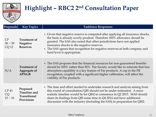

| Proposals                         | <b>Key Topics</b>                                                    | <b>Taskforce Responses</b>                                                                                                                                                                                                                                                                                                                                                                    |
|-----------------------------------|----------------------------------------------------------------------|-----------------------------------------------------------------------------------------------------------------------------------------------------------------------------------------------------------------------------------------------------------------------------------------------------------------------------------------------------------------------------------------------|
| CP<br>$38 \sim 39$<br>CQ12        | <b>Treatment of</b><br><b>Negative</b><br><b>Reserves</b>            | • Given that negative reserve is computed after applying all insurance shocks,<br>the basis is already overly prudent. Therefore 100% allowance should be<br>granted. The SAS also noted that other jurisdictions have not applied<br>insurance shocks to the negative reserves.<br>• The SAS agrees that recognition for negative reserves at both company and<br>fund level is appropriate. |
| N/A                               | <b>Treatment of</b><br><b>Aggregate of</b><br><b>APNGB</b>           | • The SAS proposes that the financial resources for non-guaranteed benefits<br>should be 100% rather than 50%. The Society would like to reiterate that loss<br>absorption capability is a key feature of Par products. A cap in the FR<br>recognition, coupled with a significant higher calibration, will affect the<br>viability of Par products.                                          |
| <b>CP43</b><br>CQ<br>$15 \sim 16$ | Proposed<br><b>Timeline and</b><br><b>Transitional</b><br>Provisions | • The time and effort needed to undertake research and analysis arising from<br>this round of consultation/QIS should not be under-estimated. A more<br>realistic timeline would be for QIS2 to commence in Q2 2015. MAS should<br>share its findings from QIS some time in Q4 2014 and have additional<br>discussion with the industry (including the SAS) in preparation for QIS2.          |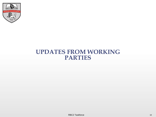

#### **UPDATES FROM WORKING PARTIES**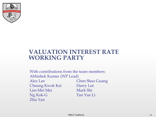

#### **VALUATION INTEREST RATE WORKING PARTY**

With contributions from the team members: Abhishek Kumar (WP Lead) Alex Lee Chen Shao Guang Cheung Kwok Kei Harry Lee Lim Mei Mei Mark Shi Ng Kok-G Tan Yue Li Zhu Yan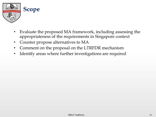

- Evaluate the proposed MA framework, including assessing the appropriateness of the requirements in Singapore context
- Counter propose alternatives to MA
- Comment on the proposal on the LTRFDR mechanism
- Identify areas where further investigations are required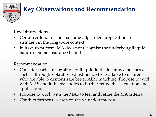

#### **Key Observations and Recommendation**

Key Observations

- Certain criteria for the matching adjustment application are stringent in the Singapore context.
- In its current form, MA does not recognise the underlying illiquid nature of some insurance liabilities.

#### Recommendation

- Consider partial recognition of illiquid in the insurance business, such as through Volatility Adjustment. MA available to insurers who are able to demonstrate better ALM matching. Propose to work with MAS and industry bodies to further refine the calculation and application.
- Propose to work with the MAS to test and refine the MA criteria.
- Conduct further research on the valuation interest.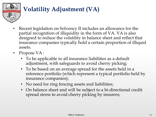

## **Volatility Adjustment (VA)**

- Recent legislation on Solvency II includes an allowance for the partial recognition of illiquidity in the form of VA. VA is also designed to reduce the volatility in balance sheet and reflect that insurance companies typically hold a certain proportion of illiquid assets.
- Propose VA :
	- To be applicable to all insurance liabilities as a default adjustment, with safeguards to avoid cherry picking;
	- To be based on an average spread for the assets held in a reference portfolio (which represent a typical portfolio held by insurance companies);
	- No need for ring fencing assets and liabilities;
	- On balance sheet and will be subject to a bi-directional credit spread stress to avoid cherry picking by insurers;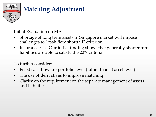

Initial Evaluation on MA

- Shortage of long term assets in Singapore market will impose challenges to "cash flow shortfall" criterion.
- Insurance risk. Our initial finding shows that generally shorter term liabilities are able to satisfy the 20% criteria.

To further consider:

- Fixed cash flow are portfolio level (rather than at asset level)
- The use of derivatives to improve matching
- Clarity on the requirement on the separate management of assets and liabilities.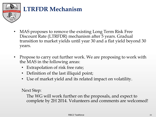

- MAS proposes to remove the existing Long Term Risk Free Discount Rate (LTRFDR) mechanism after 5 years. Gradual transition to market yields until year 30 and a flat yield beyond 30 years.
- Propose to carry out further work. We are proposing to work with the MAS in the following areas:
	- Extrapolation of risk free rate;
	- Definition of the last illiquid point;
	- Use of market yield and its related impact on volatility.

Next Step:

The WG will work further on the proposals, and expect to complete by 2H 2014. Volunteers and comments are welcomed!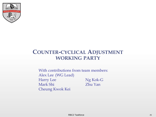

#### **COUNTER-CYCLICAL ADJUSTMENT WORKING PARTY**

With contributions from team members: Alex Lee (WG Lead) Harry Lee Ng Kok-G Mark Shi Zhu Yan Cheung Kwok Kei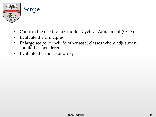

- Confirm the need for a Counter-Cyclical Adjustment (CCA)
- Evaluate the principles
- Enlarge scope to include other asset classes where adjustment should be considered
- Evaluate the choice of proxy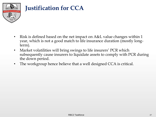

- Risk is defined based on the net impact on A&L value changes within 1 year, which is not a good match to life insurance duration (mostly longterm).
- Market volatilities will bring swings to life insurers' PCR which subsequently cause insurers to liquidate assets to comply with PCR during the down period.
- The workgroup hence believe that a well designed CCA is critical.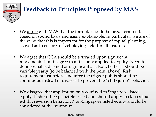

- We agree with MAS that the formula should be predetermined, based on sound basis and easily explainable. In particular, we are of the view that this is important for the purpose of capital planning, as well as to ensure a level playing field for all insurers.
- We agree that CCA should be activated upon significant movements, but disagree that it is only applied to equity. Need to define what is deemed as significant as also whether it should be variable yearly (to be balanced with the point above). Risk requirement just before and after the trigger points should be continuous instead of discreet to prevent the "cliff/jump" behavior.
- We disagree that application only confined to Singapore listed equity. It should be principle based and should apply to classes that exhibit reversion behavior. Non-Singapore listed equity should be considered at the minimum.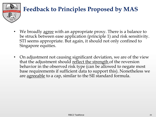

- We broadly <u>agree</u> with an appropriate proxy. There is a balance to be struck between ease application (principle 1) and risk sensitivity. STI seems appropriate. But again, it should not only confined to Singapore equities.
- On adjustment not causing significant deviation, we are of the view that the adjustment should reflect the strength of the reversion behavior in the observed risk type (can be allowed to negate most base requirements if sufficient data to support this). Nonetheless we are agreeable to a cap, similar to the SII standard formula.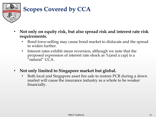# **Scopes Covered by CCA**

- **Not only on equity risk, but also spread risk and interest rate risk requirements.** 
	- Bond force-selling may cause bond market to dislocate and the spread to widen further.
	- Interest rates exhibit mean reversion, although we note that the proposed expression of interest rate shock as %(and a cap) is a  $\overline{a}$ natural" CCA.
- **Not only limited to Singapore market but global.** 
	- Both local and Singapore asset fire sale to restore PCR during a down market will cause the insurance industry as a whole to be weaker financially.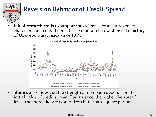# **Reversion Behavior of Credit Spread**

Initial research tends to support the existence of mean-reversion characteristic in credit spread. The diagram below shows the history of US corporate spreads since 1919.



Studies also show that the strength of reversion depends on the initial value of credit spread. For instance, the higher the spread level, the more likely it would drop in the subsequent period.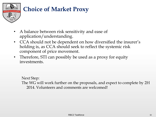

- A balance between risk sensitivity and ease of application/understanding.
- CCA should not be dependent on how diversified the insurer's holding is, as CCA should seek to reflect the systemic risk component of price movement.
- Therefore, STI can possibly be used as a proxy for equity investments.

Next Step: The WG will work further on the proposals, and expect to complete by 2H 2014. Volunteers and comments are welcomed!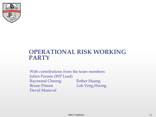

#### **OPERATIONAL RISK WORKING PARTY**

With contributions from the team members: Julien Parasie (WP Lead) Raymond Cheung Esther Huang Bruno Pinson Loh Veng Hoong David Maneval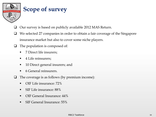

#### **Scope of survey**

- Our survey is based on publicly available 2012 MAS Return.
- We selected 27 companies in order to obtain a fair coverage of the Singapore insurance market but also to cover some niche players.
- $\Box$  The population is composed of:
	- 7 Direct life insurers;
	- 4 Life reinsurers;
	- **10 Direct general insurers; and**
	- 6 General reinsurers.
- $\Box$  The coverage is as follows (by premium income):
	- OIF Life insurance: 72%
	- **SIF Life insurance: 88%**
	- **•** OIF General Insurance:  $44\%$
	- **SIF General Insurance: 55%**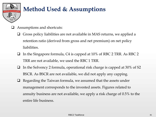

## **Method Used & Assumptions**

- Assumptions and shortcuts:
	- $\Box$  Gross policy liabilities are not available in MAS returns, we applied a retention ratio (derived from gross and net premium) on net policy liabilities.
	- $\Box$  In the Singapore formula, C4 is capped at 10% of RBC 2 TRR. As RBC 2 TRR are not available, we used the RBC 1 TRR.
	- $\Box$  In the Solvency 2 formula, operational risk charge is capped at 30% of S2 BSCR. As BSCR are not available, we did not apply any capping.
	- $\Box$  Regarding the Taiwan formula, we assumed that the assets under management corresponds to the invested assets. Figures related to annuity business are not available, we apply a risk charge of 0.5% to the entire life business.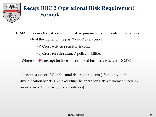

#### **Recap: RBC 2 Operational Risk Requirement Formula**

 MAS proposes the C4 operational risk requirement to be calculated as follows: x% of the higher of the past 3 years' averages of

(a) Gross written premium income;

(b) Gross (of reinsurance) policy liabilities.

Where  $x = 4\%$  (except for investment-linked business, where  $x = 0.25\%$ )

subject to a cap of 10% of the total risk requirements (after applying the diversification benefits but excluding the operation risk requirement itself, in order to avoid circularity in computation)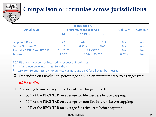

#### **Comparison of formulae across jurisdictions**

| <b>Jurisdiction</b>                 |                | Highest of a %<br>of premium and reserves |       | % of AUM | <b>Capping?</b> |
|-------------------------------------|----------------|-------------------------------------------|-------|----------|-----------------|
|                                     | GI             | <b>Life excl IL</b>                       | Ш     |          |                 |
| <b>Singapore RBC2</b>               | 4%             | 4%                                        | 0.25% | 0%       | Yes             |
| <b>Europe Solvency 2</b>            | 3%             | 0.45%                                     | $NA*$ | 0%       | Yes             |
| <b>Australia GPS118 and LPS 118</b> | $2$ to $3\%**$ | $2$ to $3\%**$                            |       | $0\%$    | <b>No</b>       |
| <b>Taiwan</b>                       | 1.50%          | 0.5% to 1%***                             |       | 0.25%    | <b>No</b>       |

\* 0.25% of yearly expenses incurred in respect of IL pollicies

\*\* 2% for reinsurance inward, 3% for others

\*\*\* 0.5% for life business, 1% for annuity business and 1.5% for all other businesses

 $\Box$  Depending on jurisdiction, percentage applied on premium/reserves ranges from

#### **0.25% to 4%.**

- $\Box$  According to our survey, operational risk charge exceeds:
	- 30% of the RBC1 TRR on average for life insurers before capping;
	- 15% of the RBC1 TRR on average for non-life insurers before capping;
	- 12% of the RBC1 TRR on average for reinsurers before capping;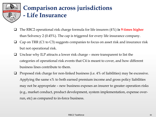

- The RBC2 operational risk charge formula for life insurers (4%) **is 9 times higher**  than Solvency 2 (0.45%). The cap is triggered for every life insurance company.
- $\Box$  Cap on TRR (C1 to C3) suggests companies to focus on asset risk and insurance risk but not operational risk.
- $\Box$  Unclear why ILP attracts a lower risk charge more transparent to list the categories of operational risk events that C4 is meant to cover, and how different business lines contribute to them.
- $\Box$  Proposed risk charge for non-linked business (i.e. 4% of liabilities) may be excessive. Applying the same  $x\%$  to both earned premium income and gross policy liabilities may not be appropriate – new business exposes an insurer to greater operation risks (e.g., market conduct, product development, system implementation, expense overrun, etc) as compared to in-force business.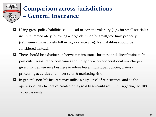## **Comparison across jurisdictions – General Insurance**

- $\Box$  Using gross policy liabilities could lead to extreme volatility (e.g., for small specialist insurers immediately following a large claim, or for small/medium property (re)insurers immediately following a catastrophe). Net liabilities should be considered instead.
- $\Box$  There should be a distinction between reinsurance business and direct business. In particular, reinsurance companies should apply a lower operational risk chargegiven that reinsurance business involves fewer individual policies, claimsprocessing activities and lower sales & marketing risk.
- In general, non-life insurers may utilise a high level of reinsurance, and so the operational risk factors calculated on a gross basis could result in triggering the 10% cap quite easily.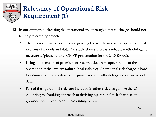

## **Relevancy of Operational Risk Requirement (1)**

- $\Box$  In our opinion, addressing the operational risk through a capital charge should not be the preferred approach:
	- **There is no industry consensus regarding the way to assess the operational risk** in terms of models and data. No study shows there is a reliable methodology to measure it (please refer to ORWP presentation for the 2013 EAAC).
	- Using a percentage of premium or reserves does not capture some of the operational risks (system failure, legal risk, etc). Operational risk charge is hard to estimate accurately due to no agreed model, methodology as well as lack of data.
	- **Part of the operational risks are included in other risk charges like the C1.** Adopting the banking approach of deriving operational risk charge from ground-up will lead to double-counting of risk.

Next….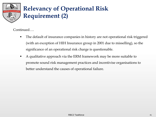

## **Relevancy of Operational Risk Requirement (2)**

Continued….

- The default of insurance companies in history are not operational risk triggered (with an exception of HIH Insurance group in 2001 due to misselling), so the significance of an operational risk charge is questionable.
- A qualitative approach via the ERM framework may be more suitable to promote sound risk management practices and incentivise organisations to better understand the causes of operational failure.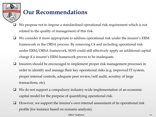## **Our Recommendations**

- $\Box$  We propose not to impose a standardised operational risk requirement which is not related to the quality of management of this risk.
- $\Box$  We consider it more appropriate to address operational risk under the insurer's ERM framework or the ORSA process. By removing C4 and including operational risk under ERM/ORSA framework, MAS could still effectively apply an additional capital charge if a insurer's ERM framework proves to be inadequate.
- $\Box$  Insurers should be encouraged to implement proper risk management processes in order to identify and manage their key operational risks (e.g. improved IT system, proper internal controls, adequate peer review/self audit, scrutiny of large transactions, etc).
- $\Box$  We do not support a compulsory industry-wide implementation of an economic capital model for the purpose of quantifying operational risk.
- $\Box$  However, we support the insurer's own internal assessment of its operational risk profile (for instance based on scenario analysis).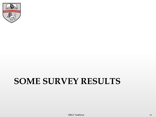

# **SOME SURVEY RESULTS**

RBC2 Taskforce 43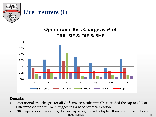

#### **Operational Risk Charge as % of TRR- SIF & OIF & SHF**



#### **Remarks :**

- 1. Operational risk charges for all 7 life insurers substantially exceeded the cap of 10% of TRR imposed under RBC2, suggesting a need for recalibration.
- 2. RBC2 operational risk charge before cap is significantly higher than other jurisdictions RBC2 Taskforce 44 and 200 million and 200 million and 200 million and 200 million and 200 million and 44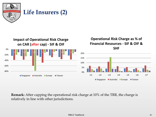



**Remark:** After capping the operational risk charge at 10% of the TRR, the charge is relatively in line with other jurisdictions.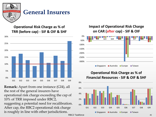

#### **General Insurers**

**Operational Risk Charge as % of TRR (before cap) - SIF & OIF & SHF**



**Remark:** Apart from one instance (GI4), all the rest of the general insurers have operational risk charge exceeding the cap of 10% of TRR imposed under RBC2, suggesting a potential need for recalibration. After cap, the RBC2 operational risk charge is roughly in line with other jurisdictions.

#### **Impact of Operational Risk Charge on CAR (after cap) - SIF & OIF**



#### **Operational Risk Charge as % of Financial Resources - SIF & OIF & SHF**



RBC2 Taskforce 46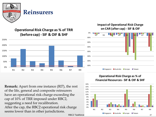



**Operational Risk Charge as % of TRR (before cap) - SIF & OIF & SHF**

#### **Impact of Operational Risk Charge on CAR (after cap) - SIF & OIF**



**Remark:** Apart from one instance (RI7), the rest of the life, general and composite reinsurers have an operational risk charge exceeding the cap of 10% of TRR imposed under RBC2, suggesting a need for recalibration. After the cap, the RBC2 operational risk charge seems lower than in other jurisdictions.

#### **Operational Risk Charge as % of Financial Resources - SIF & OIF & SHF**

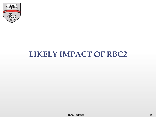

## **LIKELY IMPACT OF RBC2**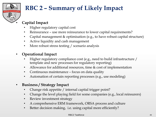

#### • **Capital Impact**

- Higher regulatory capital cost
- Reinsurance use more reinsurance to lower capital requirements?
- Capital management & optimisation (e.g., to have robust capital structure)
- Active liquidity and cash management
- More robust stress testing / scenario analysis

#### • **Operational Impact**

- Higher regulatory compliance cost (e.g., need to build infrastructure / template and new processes for regulatory reporting)
- Allowance for additional resources, time & cost of implementation
- Continuous maintenance focus on data quality
- Automation of certain reporting processes (e.g., use modeling)
- **Business / Strategy Impact**
	- Change risk appetite / internal capital trigger point?
	- Change the level playing field for some companies (e.g., local reinsurers)
	- Review investment strategy
	- A comprehensive ERM framework, ORSA process and culture
	- Better decision making, i.e. using capital more efficiently?

#### RBC2 Taskforce 49